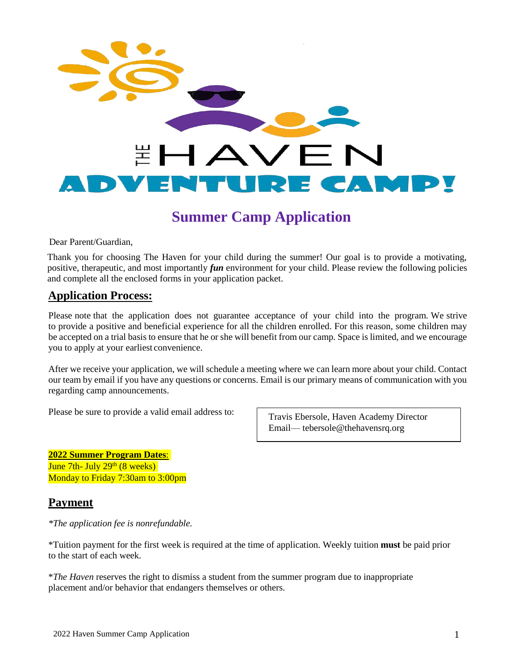

Dear Parent/Guardian,

Thank you for choosing The Haven for your child during the summer! Our goal is to provide a motivating, positive, therapeutic, and most importantly *fun* environment for your child. Please review the following policies and complete all the enclosed forms in your application packet.

## **Application Process:**

Please note that the application does not guarantee acceptance of your child into the program. We strive to provide a positive and beneficial experience for all the children enrolled. For this reason, some children may be accepted on a trial basis to ensure that he or she will benefit from our camp. Space is limited, and we encourage you to apply at your earliest convenience.

After we receive your application, we will schedule a meeting where we can learn more about your child. Contact our team by email if you have any questions or concerns. Email is our primary means of communication with you regarding camp announcements.

Please be sure to provide a valid email address to:

Travis Ebersole, Haven Academy Director Email— tebersole@thehavensrq.org

**2022 Summer Program Dates**: June 7th- July 29<sup>th</sup> (8 weeks) Monday to Friday 7:30am to 3:00pm

### **Payment**

*\*The application fee is nonrefundable.*

\*Tuition payment for the first week is required at the time of application. Weekly tuition **must** be paid prior to the start of each week.

\**The Haven* reserves the right to dismiss a student from the summer program due to inappropriate placement and/or behavior that endangers themselves or others.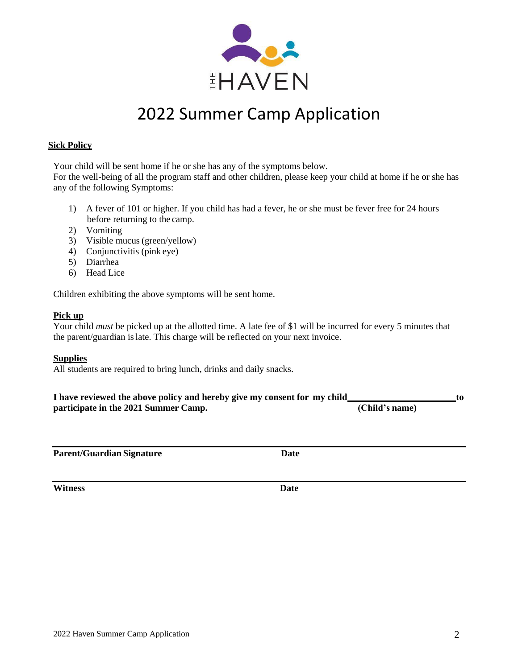

### **Sick Policy**

Your child will be sent home if he or she has any of the symptoms below.

For the well-being of all the program staff and other children, please keep your child at home if he or she has any of the following Symptoms:

- 1) A fever of 101 or higher. If you child has had a fever, he or she must be fever free for 24 hours before returning to the camp.
- 2) Vomiting
- 3) Visible mucus(green/yellow)
- 4) Conjunctivitis (pink eye)
- 5) Diarrhea
- 6) Head Lice

Children exhibiting the above symptoms will be sent home.

### **Pick up**

Your child *must* be picked up at the allotted time. A late fee of \$1 will be incurred for every 5 minutes that the parent/guardian islate. This charge will be reflected on your next invoice.

### **Supplies**

All students are required to bring lunch, drinks and daily snacks.

| I have reviewed the above policy and hereby give my consent for my child |                |  |
|--------------------------------------------------------------------------|----------------|--|
| participate in the 2021 Summer Camp.                                     | (Child's name) |  |

| <b>Parent/Guardian Signature</b> | Date |
|----------------------------------|------|
|----------------------------------|------|

**Witness Date**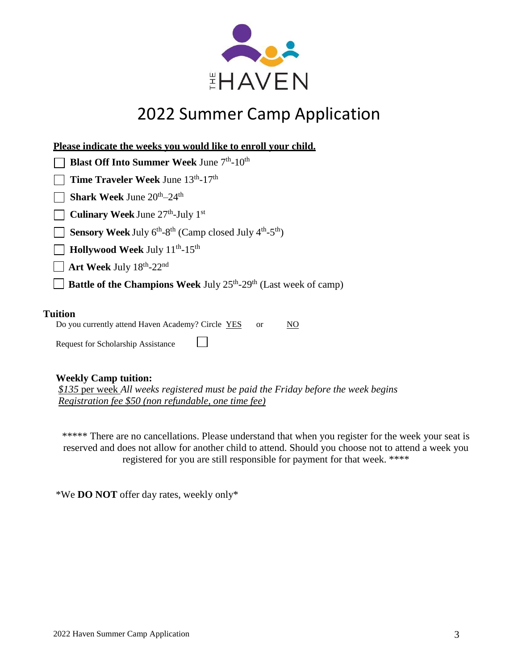

| Please indicate the weeks you would like to enroll your child.                                          |
|---------------------------------------------------------------------------------------------------------|
| <b>Blast Off Into Summer Week June 7th-10th</b>                                                         |
| Time Traveler Week June 13th-17th                                                                       |
| Shark Week June 20 <sup>th</sup> -24 <sup>th</sup>                                                      |
| Culinary Week June 27 <sup>th</sup> -July 1 <sup>st</sup>                                               |
| Sensory Week July 6 <sup>th</sup> -8 <sup>th</sup> (Camp closed July 4 <sup>th</sup> -5 <sup>th</sup> ) |
| Hollywood Week July 11 <sup>th</sup> -15 <sup>th</sup>                                                  |
| $\Box$ Art Week July 18 <sup>th</sup> -22 <sup>nd</sup>                                                 |
| Battle of the Champions Week July 25 <sup>th</sup> -29 <sup>th</sup> (Last week of camp)                |
|                                                                                                         |
|                                                                                                         |

### **Tuition**

| Do you currently attend Haven Academy? Circle YES | <sub>or</sub> | $\underline{\mathrm{NO}}$ |
|---------------------------------------------------|---------------|---------------------------|
| <b>Request for Scholarship Assistance</b>         |               |                           |

### **Weekly Camp tuition:**

*\$135* per week *All weeks registered must be paid the Friday before the week begins Registration fee \$50 (non refundable, one time fee)*

\*\*\*\*\* There are no cancellations. Please understand that when you register for the week your seat is reserved and does not allow for another child to attend. Should you choose not to attend a week you registered for you are still responsible for payment for that week. \*\*\*\*

\*We **DO NOT** offer day rates, weekly only\*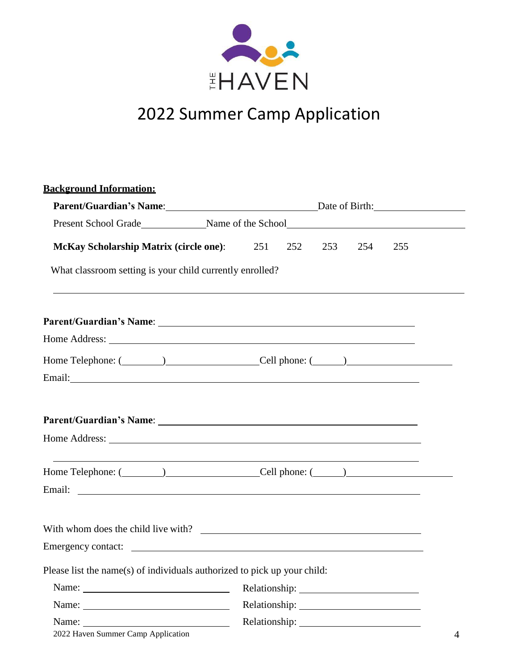

| <b>Background Information:</b>                                           |                                                                                                                                                                                                                                                               |  |  |  |  |
|--------------------------------------------------------------------------|---------------------------------------------------------------------------------------------------------------------------------------------------------------------------------------------------------------------------------------------------------------|--|--|--|--|
|                                                                          | Parent/Guardian's Name: Date of Birth: Date of Birth:                                                                                                                                                                                                         |  |  |  |  |
|                                                                          |                                                                                                                                                                                                                                                               |  |  |  |  |
| <b>McKay Scholarship Matrix (circle one):</b> 251                        | 252<br>253<br>254<br>255                                                                                                                                                                                                                                      |  |  |  |  |
| What classroom setting is your child currently enrolled?                 |                                                                                                                                                                                                                                                               |  |  |  |  |
|                                                                          |                                                                                                                                                                                                                                                               |  |  |  |  |
|                                                                          |                                                                                                                                                                                                                                                               |  |  |  |  |
|                                                                          | Home Telephone: (Changelen and Cell phone: (Changelen and Cell phone: (Changelen and Cell phone: (Changelen and Cell phone: (Changelen and Cell phone: (Changelen and Cell phone: (Changelen and Cell phone: (Changelen and Ce                                |  |  |  |  |
|                                                                          |                                                                                                                                                                                                                                                               |  |  |  |  |
|                                                                          | Home Telephone: (Call phone: (Cell phone: (Call phone: (Call phone: (Call phone: (Call phone: (Call phone: (Call phone: (Call phone: (Call phone: (Call phone: (Call phone: (Call phone: (Call phone: (Call phone: (Call phone<br>Email: <u>International</u> |  |  |  |  |
|                                                                          |                                                                                                                                                                                                                                                               |  |  |  |  |
| Please list the name(s) of individuals authorized to pick up your child: |                                                                                                                                                                                                                                                               |  |  |  |  |
|                                                                          | Relationship: 2000                                                                                                                                                                                                                                            |  |  |  |  |
|                                                                          |                                                                                                                                                                                                                                                               |  |  |  |  |
| 2022 Haven Summer Camp Application                                       | 4                                                                                                                                                                                                                                                             |  |  |  |  |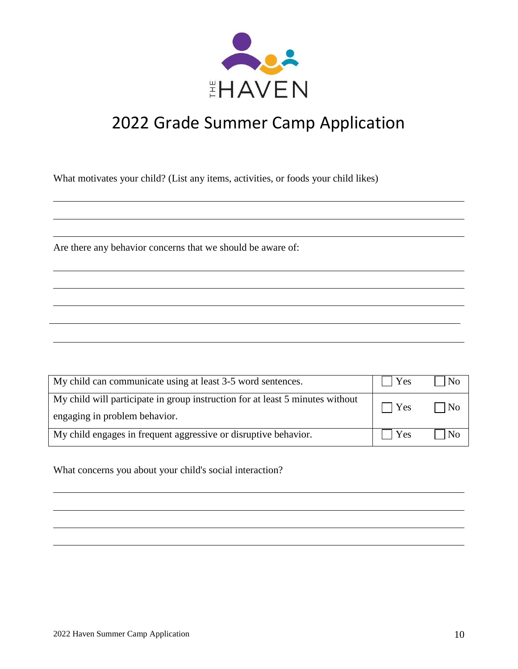

# 2022 Grade Summer Camp Application

What motivates your child? (List any items, activities, or foods your child likes)

Are there any behavior concerns that we should be aware of:

| My child can communicate using at least 3-5 word sentences.                                                    | Yes         | N <sub>0</sub> |
|----------------------------------------------------------------------------------------------------------------|-------------|----------------|
| My child will participate in group instruction for at least 5 minutes without<br>engaging in problem behavior. | $\vert$ Yes | No             |
| My child engages in frequent aggressive or disruptive behavior.                                                | Yes         | No             |

What concerns you about your child's social interaction?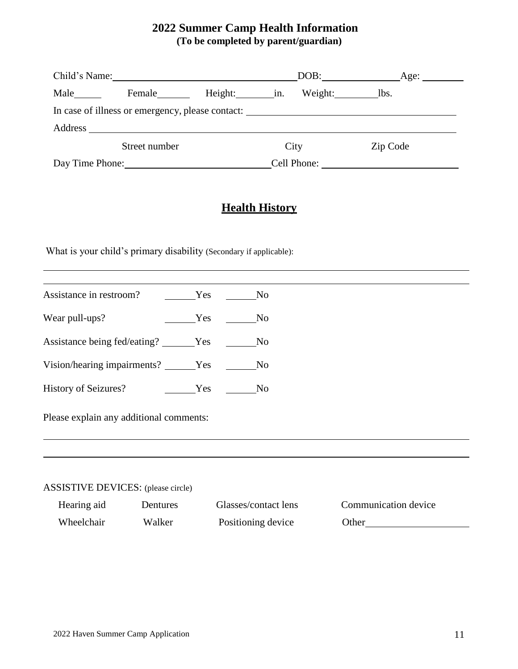## **2022 Summer Camp Health Information (To be completed by parent/guardian)**

|                 | Child's Name:                                    |         |             | DOB:    | Age: $\overline{\phantom{0}}$ |
|-----------------|--------------------------------------------------|---------|-------------|---------|-------------------------------|
| Male            | Female                                           | Height: | in.         | Weight: | lbs.                          |
|                 | In case of illness or emergency, please contact: |         |             |         |                               |
|                 |                                                  |         |             |         |                               |
|                 | Street number                                    |         | City        |         | Zip Code                      |
| Day Time Phone: |                                                  |         | Cell Phone: |         |                               |

# **Health History**

What is your child's primary disability (Secondary if applicable):

| Assistance in restroom? No No No                 |     |                |
|--------------------------------------------------|-----|----------------|
| Wear pull-ups?                                   | Yes | N <sub>o</sub> |
| Assistance being fed/eating? ______Yes _______No |     |                |
| Vision/hearing impairments? ______Yes _______No  |     |                |
| History of Seizures? No No No                    |     |                |
| Please explain any additional comments:          |     |                |
|                                                  |     |                |
|                                                  |     |                |
|                                                  |     |                |

### ASSISTIVE DEVICES: (please circle)

Hearing aid Dentures Glasses/contact lens Communication device Wheelchair Walker Positioning device Other Christmas Communication of the United States Other Christmas Communication of the United States Other Christmas Communication of the United States Other Christmas Communication of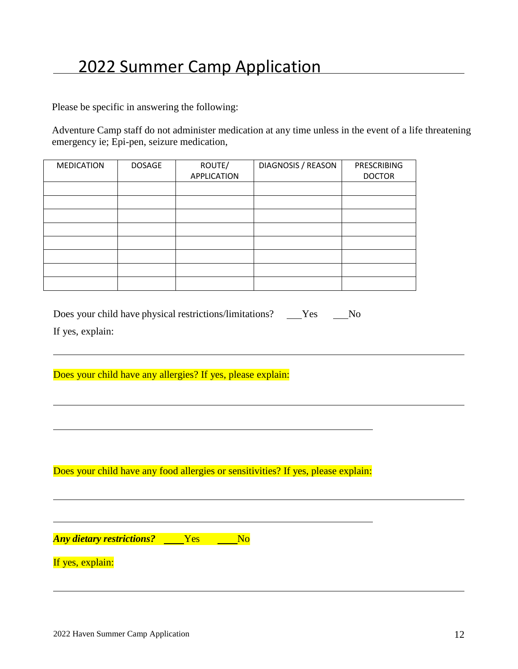Please be specific in answering the following:

Adventure Camp staff do not administer medication at any time unless in the event of a life threatening emergency ie; Epi-pen, seizure medication,

| <b>MEDICATION</b> | <b>DOSAGE</b> | ROUTE/             | DIAGNOSIS / REASON | PRESCRIBING   |
|-------------------|---------------|--------------------|--------------------|---------------|
|                   |               | <b>APPLICATION</b> |                    | <b>DOCTOR</b> |
|                   |               |                    |                    |               |
|                   |               |                    |                    |               |
|                   |               |                    |                    |               |
|                   |               |                    |                    |               |
|                   |               |                    |                    |               |
|                   |               |                    |                    |               |
|                   |               |                    |                    |               |
|                   |               |                    |                    |               |

| Does your child have physical restrictions/limitations? | Yes | N <sub>0</sub> |
|---------------------------------------------------------|-----|----------------|
| If yes, explain:                                        |     |                |

Does your child have any allergies? If yes, please explain:

Does your child have any food allergies or sensitivities? If yes, please explain:

*Any dietary restrictions?* No Yes No

If yes, explain: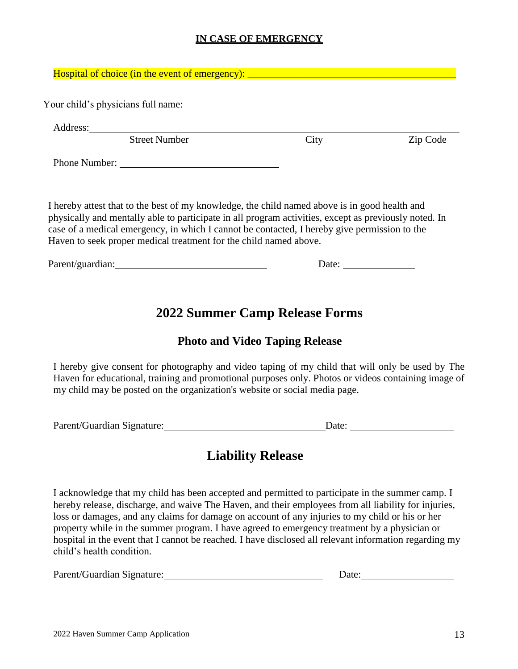## **IN CASE OF EMERGENCY**

| Hospital of choice (in the event of emergency): _________________________________ |      |          |
|-----------------------------------------------------------------------------------|------|----------|
| Your child's physicians full name:                                                |      |          |
| <b>Street Number</b>                                                              | City | Zip Code |
| Phone Number:                                                                     |      |          |

I hereby attest that to the best of my knowledge, the child named above is in good health and physically and mentally able to participate in all program activities, except as previously noted. In case of a medical emergency, in which I cannot be contacted, I hereby give permission to the Haven to seek proper medical treatment for the child named above.

Parent/guardian: Date:

# **2022 Summer Camp Release Forms**

## **Photo and Video Taping Release**

I hereby give consent for photography and video taping of my child that will only be used by The Haven for educational, training and promotional purposes only. Photos or videos containing image of my child may be posted on the organization's website or social media page.

Parent/Guardian Signature: Date: Date: Date:

# **Liability Release**

I acknowledge that my child has been accepted and permitted to participate in the summer camp. I hereby release, discharge, and waive The Haven, and their employees from all liability for injuries, loss or damages, and any claims for damage on account of any injuries to my child or his or her property while in the summer program. I have agreed to emergency treatment by a physician or hospital in the event that I cannot be reached. I have disclosed all relevant information regarding my child's health condition.

| Parent/Guardian Signature: | Date: |
|----------------------------|-------|
|                            |       |